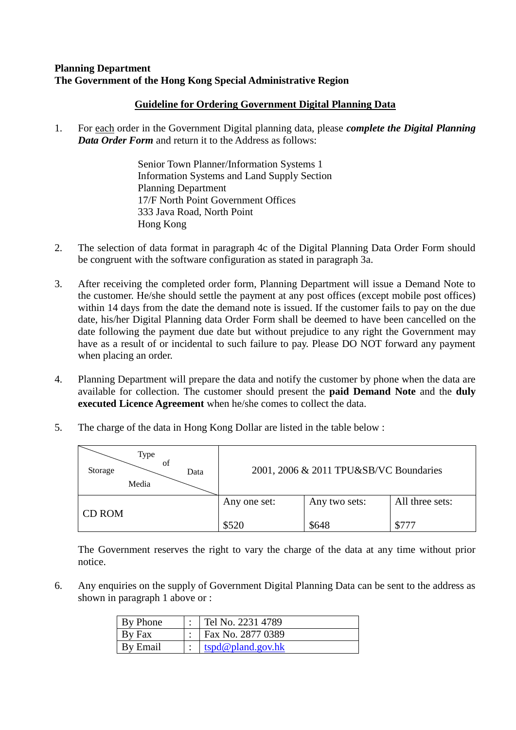## **Planning Department The Government of the Hong Kong Special Administrative Region**

## **Guideline for Ordering Government Digital Planning Data**

1. For each order in the Government Digital planning data, please *complete the Digital Planning Data Order Form* and return it to the Address as follows:

> Senior Town Planner/Information Systems 1 Information Systems and Land Supply Section Planning Department 17/F North Point Government Offices 333 Java Road, North Point Hong Kong

- 2. The selection of data format in paragraph 4c of the Digital Planning Data Order Form should be congruent with the software configuration as stated in paragraph 3a.
- 3. After receiving the completed order form, Planning Department will issue a Demand Note to the customer. He/she should settle the payment at any post offices (except mobile post offices) within 14 days from the date the demand note is issued. If the customer fails to pay on the due date, his/her Digital Planning data Order Form shall be deemed to have been cancelled on the date following the payment due date but without prejudice to any right the Government may have as a result of or incidental to such failure to pay. Please DO NOT forward any payment when placing an order.
- 4. Planning Department will prepare the data and notify the customer by phone when the data are available for collection. The customer should present the **paid Demand Note** and the **duly executed Licence Agreement** when he/she comes to collect the data.
- 5. The charge of the data in Hong Kong Dollar are listed in the table below :

| Type<br>of<br>Storage<br>Data<br>Media |              | 2001, 2006 & 2011 TPU&SB/VC Boundaries |                 |
|----------------------------------------|--------------|----------------------------------------|-----------------|
| CD ROM                                 | Any one set: | Any two sets:                          | All three sets: |
|                                        | \$520        | \$648                                  | \$777           |

The Government reserves the right to vary the charge of the data at any time without prior notice.

6. Any enquiries on the supply of Government Digital Planning Data can be sent to the address as shown in paragraph 1 above or :

| By Phone | Tel No. 2231 4789 |
|----------|-------------------|
| By Fax   | Fax No. 2877 0389 |
| By Email | tspd@pland.gov.hk |